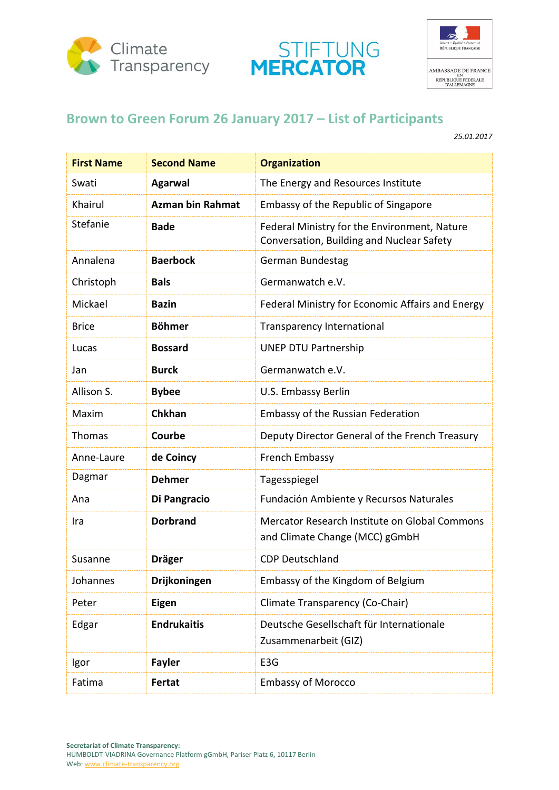





## **Brown to Green Forum 26 January 2017 – List of Participants**

*25.01.2017*

| <b>First Name</b> | <b>Second Name</b>      | <b>Organization</b>                                                                       |
|-------------------|-------------------------|-------------------------------------------------------------------------------------------|
| Swati             | <b>Agarwal</b>          | The Energy and Resources Institute                                                        |
| Khairul           | <b>Azman bin Rahmat</b> | Embassy of the Republic of Singapore                                                      |
| Stefanie          | <b>Bade</b>             | Federal Ministry for the Environment, Nature<br>Conversation, Building and Nuclear Safety |
| Annalena          | <b>Baerbock</b>         | German Bundestag                                                                          |
| Christoph         | <b>Bals</b>             | Germanwatch e.V.                                                                          |
| Mickael           | <b>Bazin</b>            | Federal Ministry for Economic Affairs and Energy                                          |
| <b>Brice</b>      | <b>Böhmer</b>           | <b>Transparency International</b>                                                         |
| Lucas             | <b>Bossard</b>          | <b>UNEP DTU Partnership</b>                                                               |
| Jan               | <b>Burck</b>            | Germanwatch e.V.                                                                          |
| Allison S.        | <b>Bybee</b>            | U.S. Embassy Berlin                                                                       |
| Maxim             | <b>Chkhan</b>           | <b>Embassy of the Russian Federation</b>                                                  |
| <b>Thomas</b>     | Courbe                  | Deputy Director General of the French Treasury                                            |
| Anne-Laure        | de Coincy               | French Embassy                                                                            |
| Dagmar            | <b>Dehmer</b>           | Tagesspiegel                                                                              |
| Ana               | Di Pangracio            | Fundación Ambiente y Recursos Naturales                                                   |
| Ira               | <b>Dorbrand</b>         | Mercator Research Institute on Global Commons<br>and Climate Change (MCC) gGmbH           |
| Susanne           | <b>Dräger</b>           | <b>CDP Deutschland</b>                                                                    |
| Johannes          | Drijkoningen            | Embassy of the Kingdom of Belgium                                                         |
| Peter             | <b>Eigen</b>            | Climate Transparency (Co-Chair)                                                           |
| Edgar             | <b>Endrukaitis</b>      | Deutsche Gesellschaft für Internationale<br>Zusammenarbeit (GIZ)                          |
| Igor              | <b>Fayler</b>           | E <sub>3</sub> G                                                                          |
| Fatima            | Fertat                  | <b>Embassy of Morocco</b>                                                                 |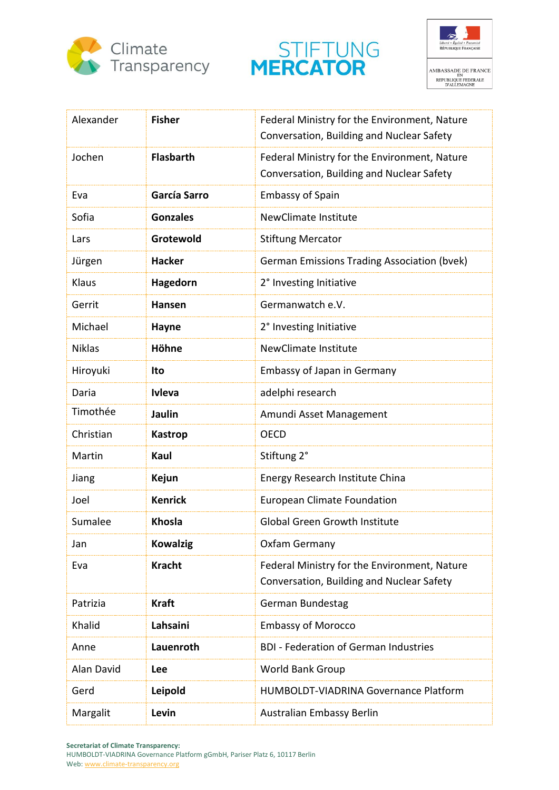





| Alexander     | <b>Fisher</b>    | Federal Ministry for the Environment, Nature<br>Conversation, Building and Nuclear Safety |
|---------------|------------------|-------------------------------------------------------------------------------------------|
| Jochen        | <b>Flasbarth</b> | Federal Ministry for the Environment, Nature<br>Conversation, Building and Nuclear Safety |
| Eva           | García Sarro     | <b>Embassy of Spain</b>                                                                   |
| Sofia         | <b>Gonzales</b>  | <b>NewClimate Institute</b>                                                               |
| Lars          | Grotewold        | <b>Stiftung Mercator</b>                                                                  |
| Jürgen        | <b>Hacker</b>    | <b>German Emissions Trading Association (bvek)</b>                                        |
| Klaus         | Hagedorn         | 2° Investing Initiative                                                                   |
| Gerrit        | <b>Hansen</b>    | Germanwatch e.V.                                                                          |
| Michael       | <b>Hayne</b>     | 2° Investing Initiative                                                                   |
| <b>Niklas</b> | Höhne            | NewClimate Institute                                                                      |
| Hiroyuki      | Ito              | <b>Embassy of Japan in Germany</b>                                                        |
| Daria         | <b>Ivleva</b>    | adelphi research                                                                          |
| Timothée      | Jaulin           | Amundi Asset Management                                                                   |
| Christian     | <b>Kastrop</b>   | <b>OECD</b>                                                                               |
| Martin        | Kaul             | Stiftung 2°                                                                               |
| Jiang         | Kejun            | Energy Research Institute China                                                           |
| Joel          | <b>Kenrick</b>   | <b>European Climate Foundation</b>                                                        |
| Sumalee       | Khosla           | <b>Global Green Growth Institute</b>                                                      |
| Jan           | <b>Kowalzig</b>  | Oxfam Germany                                                                             |
| Eva           | <b>Kracht</b>    | Federal Ministry for the Environment, Nature<br>Conversation, Building and Nuclear Safety |
| Patrizia      | <b>Kraft</b>     | German Bundestag                                                                          |
| Khalid        | Lahsaini         | <b>Embassy of Morocco</b>                                                                 |
| Anne          | Lauenroth        | <b>BDI - Federation of German Industries</b>                                              |
| Alan David    | Lee              | <b>World Bank Group</b>                                                                   |
| Gerd          | Leipold          | <b>HUMBOLDT-VIADRINA Governance Platform</b>                                              |
| Margalit      | Levin            | Australian Embassy Berlin                                                                 |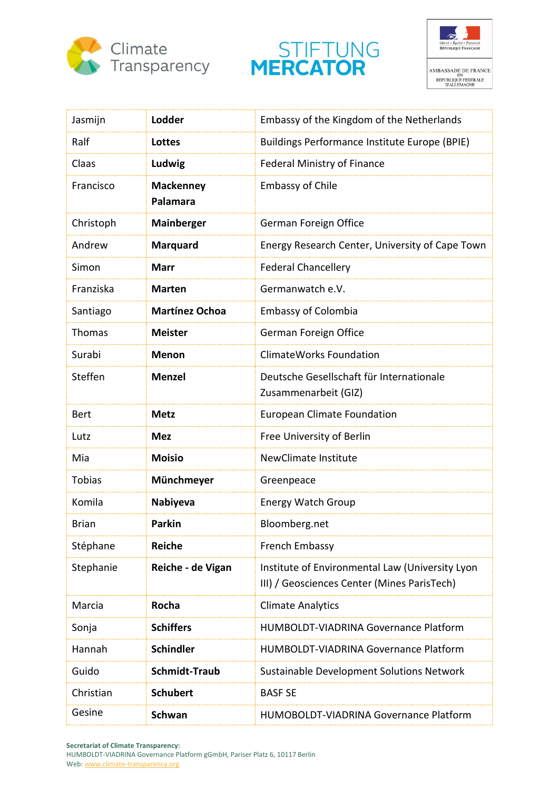





| Jasmijn       | Lodder                       | Embassy of the Kingdom of the Netherlands                                                      |
|---------------|------------------------------|------------------------------------------------------------------------------------------------|
| Ralf          | Lottes                       | Buildings Performance Institute Europe (BPIE)                                                  |
| Claas         | Ludwig                       | <b>Federal Ministry of Finance</b>                                                             |
| Francisco     | <b>Mackenney</b><br>Palamara | <b>Embassy of Chile</b>                                                                        |
| Christoph     | <b>Mainberger</b>            | German Foreign Office                                                                          |
| Andrew        | <b>Marquard</b>              | Energy Research Center, University of Cape Town                                                |
| Simon         | <b>Marr</b>                  | <b>Federal Chancellery</b>                                                                     |
| Franziska     | <b>Marten</b>                | Germanwatch e.V.                                                                               |
| Santiago      | <b>Martínez Ochoa</b>        | <b>Embassy of Colombia</b>                                                                     |
| Thomas        | <b>Meister</b>               | German Foreign Office                                                                          |
| Surabi        | <b>Menon</b>                 | <b>ClimateWorks Foundation</b>                                                                 |
| Steffen       | <b>Menzel</b>                | Deutsche Gesellschaft für Internationale<br>Zusammenarbeit (GIZ)                               |
| <b>Bert</b>   | <b>Metz</b>                  | <b>European Climate Foundation</b>                                                             |
| Lutz          | <b>Mez</b>                   | Free University of Berlin                                                                      |
| Mia           | <b>Moisio</b>                | NewClimate Institute                                                                           |
| <b>Tobias</b> | Münchmeyer                   | Greenpeace                                                                                     |
| Komila        | Nabiyeva                     | <b>Energy Watch Group</b>                                                                      |
| <b>Brian</b>  | <b>Parkin</b>                | Bloomberg.net                                                                                  |
| Stéphane      | <b>Reiche</b>                | French Embassy                                                                                 |
| Stephanie     | Reiche - de Vigan            | Institute of Environmental Law (University Lyon<br>III) / Geosciences Center (Mines ParisTech) |
| Marcia        | Rocha                        | <b>Climate Analytics</b>                                                                       |
| Sonja         | <b>Schiffers</b>             | <b>HUMBOLDT-VIADRINA Governance Platform</b>                                                   |
| Hannah        | <b>Schindler</b>             | HUMBOLDT-VIADRINA Governance Platform                                                          |
| Guido         | <b>Schmidt-Traub</b>         | Sustainable Development Solutions Network                                                      |
| Christian     | <b>Schubert</b>              | <b>BASF SE</b>                                                                                 |
| Gesine        | <b>Schwan</b>                | HUMOBOLDT-VIADRINA Governance Platform                                                         |